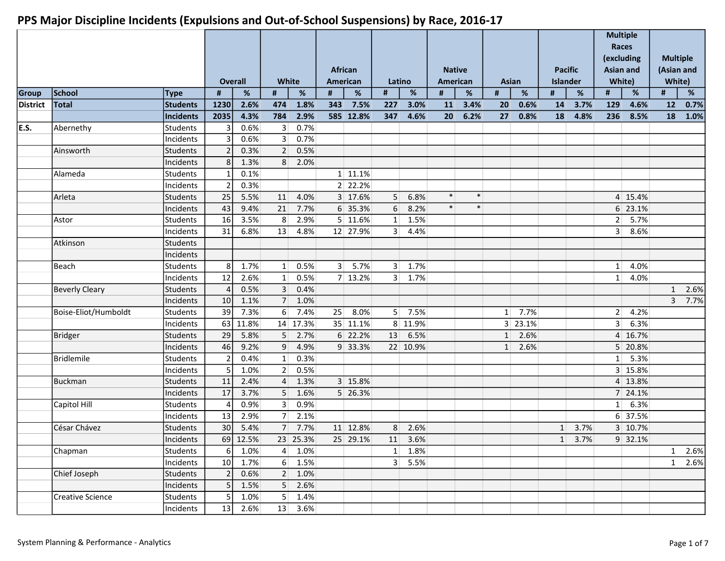|          |                         |                 |                | Overall  | <b>White</b>   |                     |     | <b>African</b><br>American | Latino         |                 | <b>Native</b><br>American |        |          | <b>Asian</b> |    | <b>Pacific</b><br>Islander |                | <b>Multiple</b><br>Races<br>(excluding<br><b>Asian and</b><br>White) |              | <b>Multiple</b><br>(Asian and<br>White) |
|----------|-------------------------|-----------------|----------------|----------|----------------|---------------------|-----|----------------------------|----------------|-----------------|---------------------------|--------|----------|--------------|----|----------------------------|----------------|----------------------------------------------------------------------|--------------|-----------------------------------------|
| Group    | School                  | <b>Type</b>     | #              | %        | #              | %                   | #   | $\%$                       | #              | $\%$            | #                         | %      | #        | $\%$         | #  | $\%$                       | #              | $\%$                                                                 | #            | $\%$                                    |
| District | <b>Total</b>            | <b>Students</b> | 1230           | 2.6%     | 474            | 1.8%                | 343 | 7.5%                       | 227            | 3.0%            | 11                        | 3.4%   | 20       | 0.6%         | 14 | 3.7%                       | 129            | 4.6%                                                                 | 12           | 0.7%                                    |
|          |                         | Incidents       | 2035           | 4.3%     | 784            | 2.9%                |     | 585 12.8%                  | 347            | 4.6%            | 20 <sup>1</sup>           | 6.2%   | 27       | 0.8%         | 18 | 4.8%                       | 236            | 8.5%                                                                 | 18           | 1.0%                                    |
| E.S.     | Abernethy               | Students        |                | 0.6%     | 3 <sup>1</sup> | 0.7%                |     |                            |                |                 |                           |        |          |              |    |                            |                |                                                                      |              |                                         |
|          |                         | Incidents       |                | 0.6%     | 3 <sup>1</sup> | 0.7%                |     |                            |                |                 |                           |        |          |              |    |                            |                |                                                                      |              |                                         |
|          | Ainsworth               | Students        |                | 0.3%     | $\overline{2}$ | 0.5%                |     |                            |                |                 |                           |        |          |              |    |                            |                |                                                                      |              |                                         |
|          |                         | Incidents       | 8              | 1.3%     | 8              | 2.0%                |     |                            |                |                 |                           |        |          |              |    |                            |                |                                                                      |              |                                         |
|          | Alameda                 | Students        |                | 0.1%     |                |                     |     | 1 11.1%                    |                |                 |                           |        |          |              |    |                            |                |                                                                      |              |                                         |
|          |                         | Incidents       | $\overline{2}$ | 0.3%     |                |                     |     | 2 22.2%                    |                |                 |                           |        |          |              |    |                            |                |                                                                      |              |                                         |
|          | Arleta                  | Students        | 25             | 5.5%     | 11             | 4.0%                |     | 3 17.6%                    | 5 <sup>1</sup> | 6.8%            | $\ast$                    | $\ast$ |          |              |    |                            |                | 4 15.4%                                                              |              |                                         |
|          |                         | Incidents       | 43             | 9.4%     |                | 21 7.7%             |     | 6 35.3%                    | $6 \mid$       | 8.2%            | $\ast$                    | $\ast$ |          |              |    |                            |                | 6 23.1%                                                              |              |                                         |
|          | Astor                   | Students        | 16             | 3.5%     | 8 <sup>1</sup> | 2.9%                |     | 5 11.6%                    | $1\vert$       | 1.5%            |                           |        |          |              |    |                            | 2              | 5.7%                                                                 |              |                                         |
|          |                         | Incidents       | 31             | 6.8%     | 13             | 4.8%                |     | 12 27.9%                   | 3 <sup>1</sup> | 4.4%            |                           |        |          |              |    |                            | 3 <sup>1</sup> | 8.6%                                                                 |              |                                         |
|          | Atkinson                | Students        |                |          |                |                     |     |                            |                |                 |                           |        |          |              |    |                            |                |                                                                      |              |                                         |
|          |                         | Incidents       |                |          |                |                     |     |                            |                |                 |                           |        |          |              |    |                            |                |                                                                      |              |                                         |
|          | Beach                   | <b>Students</b> | 8              | 1.7%     | 1              | 0.5%                |     | 3   5.7%                   | 3 <sup>1</sup> | 1.7%            |                           |        |          |              |    |                            | $1\vert$       | 4.0%                                                                 |              |                                         |
|          |                         | Incidents       | 12             | 2.6%     | 1              | 0.5%                |     | 7 13.2%                    | 3 <sup>1</sup> | 1.7%            |                           |        |          |              |    |                            | $1\vert$       | 4.0%                                                                 |              |                                         |
|          | <b>Beverly Cleary</b>   | <b>Students</b> | Δ              | 0.5%     | 3 <sup>1</sup> | 0.4%                |     |                            |                |                 |                           |        |          |              |    |                            |                |                                                                      | 1            | 2.6%                                    |
|          |                         | Incidents       | 10             | 1.1%     |                | 7 1.0%              |     |                            |                |                 |                           |        |          |              |    |                            |                |                                                                      | 3            | 7.7%                                    |
|          | Boise-Eliot/Humboldt    | <b>Students</b> | 39             | 7.3%     | $6 \mid$       | 7.4%                | 25  | 8.0%                       | 5              | 7.5%            |                           |        | $1\vert$ | 7.7%         |    |                            | 2              | 4.2%                                                                 |              |                                         |
|          |                         | Incidents       | 63             | 11.8%    |                | 14 17.3%            |     | 35 11.1%                   |                | 8 11.9%         |                           |        |          | 3 23.1%      |    |                            | 3 <sup>1</sup> | 6.3%                                                                 |              |                                         |
|          | <b>Bridger</b>          | Students        | 29             | 5.8%     | 5 <sup>1</sup> | 2.7%                |     | 6 22.2%                    | 13             | 6.5%            |                           |        | $1\vert$ | 2.6%         |    |                            |                | 4 16.7%                                                              |              |                                         |
|          |                         | Incidents       | 46             | 9.2%     | 9 <sup>1</sup> | 4.9%                |     | 9 33.3%                    |                | 22 10.9%        |                           |        | $1\vert$ | 2.6%         |    |                            |                | 5 20.8%                                                              |              |                                         |
|          | <b>Bridlemile</b>       | <b>Students</b> | $\overline{2}$ | 0.4%     | 1              | 0.3%                |     |                            |                |                 |                           |        |          |              |    |                            |                | $1 \vert 5.3\%$                                                      |              |                                         |
|          |                         | Incidents       | 5              | 1.0%     | 2 <sup>1</sup> | 0.5%                |     |                            |                |                 |                           |        |          |              |    |                            |                | 3 15.8%                                                              |              |                                         |
|          | <b>Buckman</b>          | <b>Students</b> | 11             | 2.4%     | $\overline{4}$ | 1.3%                |     | 3 15.8%                    |                |                 |                           |        |          |              |    |                            |                | 4 13.8%                                                              |              |                                         |
|          |                         | Incidents       | 17             | 3.7%     | 5 <sup>1</sup> | 1.6%                |     | 5 26.3%                    |                |                 |                           |        |          |              |    |                            |                | 7 24.1%                                                              |              |                                         |
|          | Capitol Hill            | Students        |                | 0.9%     | 3 <sup>1</sup> | 0.9%                |     |                            |                |                 |                           |        |          |              |    |                            |                | $1 \vert 6.3\%$                                                      |              |                                         |
|          |                         | Incidents       | 13             | 2.9%     | 7 <sup>1</sup> | 2.1%                |     |                            |                |                 |                           |        |          |              |    |                            |                | 6 37.5%                                                              |              |                                         |
|          | César Chávez            | Students        | 30             | 5.4%     |                | 7 7.7%              |     | 11 12.8%                   | 8 <sup>1</sup> | 2.6%            |                           |        |          |              |    | 1 3.7%                     |                | 3 10.7%                                                              |              |                                         |
|          |                         | Incidents       |                | 69 12.5% |                | 23 25.3%            |     | 25 29.1%                   |                | 11 3.6%         |                           |        |          |              |    | 1 3.7%                     |                | 9 32.1%                                                              |              |                                         |
|          | Chapman                 | Students        | 6              | 1.0%     |                | $4 \mid 1.0\%$      |     |                            |                | $1 \quad 1.8\%$ |                           |        |          |              |    |                            |                |                                                                      | $\mathbf{1}$ | 2.6%                                    |
|          |                         | Incidents       | 10             | 1.7%     |                | $6 \mid 1.5\%$      |     |                            |                | 3   5.5%        |                           |        |          |              |    |                            |                |                                                                      |              | 1 2.6%                                  |
|          | Chief Joseph            | Students        | $\overline{2}$ | 0.6%     |                | $2 \quad 1.0\%$     |     |                            |                |                 |                           |        |          |              |    |                            |                |                                                                      |              |                                         |
|          |                         | Incidents       | 5              | 1.5%     |                | 5 2.6%              |     |                            |                |                 |                           |        |          |              |    |                            |                |                                                                      |              |                                         |
|          | <b>Creative Science</b> | <b>Students</b> | 5              | 1.0%     |                | $\overline{5}$ 1.4% |     |                            |                |                 |                           |        |          |              |    |                            |                |                                                                      |              |                                         |
|          |                         | Incidents       | 13             | 2.6%     |                | 13 3.6%             |     |                            |                |                 |                           |        |          |              |    |                            |                |                                                                      |              |                                         |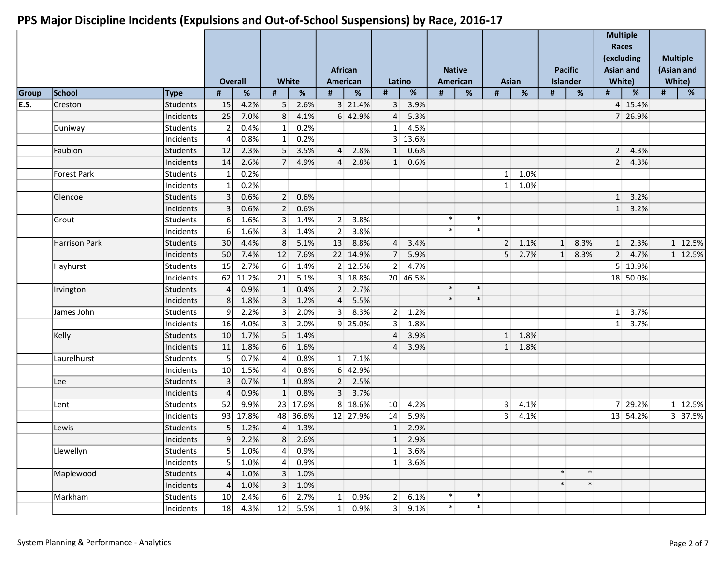|       |                      |           |                | <b>Overall</b> |                 | <b>White</b>        |                 | <b>African</b><br>American |                 | Latino          |        | <b>Native</b><br>American | Asian          |                 |          | <b>Pacific</b><br>Islander |                | <b>Multiple</b><br>Races<br>(excluding<br><b>Asian and</b><br>White) |      | <b>Multiple</b><br>(Asian and<br>White) |
|-------|----------------------|-----------|----------------|----------------|-----------------|---------------------|-----------------|----------------------------|-----------------|-----------------|--------|---------------------------|----------------|-----------------|----------|----------------------------|----------------|----------------------------------------------------------------------|------|-----------------------------------------|
| Group | School               | Type      | #              | $\%$           | #               | $\%$                | #               | $\%$                       | $\#$            | $\%$            | $\#$   | $\%$                      | #              | $\%$            | #        | $\%$                       | #              | $\%$                                                                 | $\#$ | $\%$                                    |
| E.S.  | Creston              | Students  | 15             | 4.2%           | 5 <sup>1</sup>  | 2.6%                |                 | 3 21.4%                    | 3 <sup>1</sup>  | 3.9%            |        |                           |                |                 |          |                            |                | 4 15.4%                                                              |      |                                         |
|       |                      | Incidents | 25             | 7.0%           | 8 <sup>1</sup>  | 4.1%                |                 | 6 42.9%                    | $\overline{4}$  | 5.3%            |        |                           |                |                 |          |                            |                | 7 26.9%                                                              |      |                                         |
|       | Duniway              | Students  | $\overline{2}$ | 0.4%           | 1               | 0.2%                |                 |                            | $1\vert$        | 4.5%            |        |                           |                |                 |          |                            |                |                                                                      |      |                                         |
|       |                      | Incidents |                | 0.8%           | 1               | 0.2%                |                 |                            |                 | 3 13.6%         |        |                           |                |                 |          |                            |                |                                                                      |      |                                         |
|       | Faubion              | Students  | 12             | 2.3%           | 5 <sup>1</sup>  | 3.5%                | $\vert 4 \vert$ | 2.8%                       | 1               | 0.6%            |        |                           |                |                 |          |                            | 2 <sup>1</sup> | 4.3%                                                                 |      |                                         |
|       |                      | Incidents | 14             | 2.6%           | 7 <sup>1</sup>  | 4.9%                | $\vert 4 \vert$ | 2.8%                       | $1\vert$        | 0.6%            |        |                           |                |                 |          |                            | 2 <sup>2</sup> | 4.3%                                                                 |      |                                         |
|       | <b>Forest Park</b>   | Students  |                | 0.2%           |                 |                     |                 |                            |                 |                 |        |                           |                | $1 \ 1.0\%$     |          |                            |                |                                                                      |      |                                         |
|       |                      | Incidents |                | 0.2%           |                 |                     |                 |                            |                 |                 |        |                           |                | $1 \mid 1.0\%$  |          |                            |                |                                                                      |      |                                         |
|       | Glencoe              | Students  | 3              | 0.6%           | 2               | 0.6%                |                 |                            |                 |                 |        |                           |                |                 |          |                            | 1              | 3.2%                                                                 |      |                                         |
|       |                      | Incidents | 3              | 0.6%           | 2               | 0.6%                |                 |                            |                 |                 |        |                           |                |                 |          |                            |                | $1 \quad 3.2\%$                                                      |      |                                         |
|       | Grout                | Students  | 6              | 1.6%           | 3 <sup>1</sup>  | 1.4%                | 2               | 3.8%                       |                 |                 | $\ast$ | $\ast$                    |                |                 |          |                            |                |                                                                      |      |                                         |
|       |                      | Incidents | 6              | 1.6%           | 3 <sup>1</sup>  | 1.4%                | 2               | 3.8%                       |                 |                 | $\ast$ | $\ast$                    |                |                 |          |                            |                |                                                                      |      |                                         |
|       | <b>Harrison Park</b> | Students  | 30             | 4.4%           | 8 <sup>1</sup>  | 5.1%                |                 | 13 8.8%                    | $\vert$ 4       | 3.4%            |        |                           |                | $2 \quad 1.1\%$ | $1\vert$ | 8.3%                       | 1              | 2.3%                                                                 |      | 1 12.5%                                 |
|       |                      | Incidents | 50             | 7.4%           |                 | 12 7.6%             |                 | 22 14.9%                   | 7 <sup>1</sup>  | 5.9%            |        |                           | 5 <sup>1</sup> | 2.7%            | 1        | 8.3%                       |                | $2 \mid 4.7\%$                                                       |      | 1 12.5%                                 |
|       | Hayhurst             | Students  | 15             | 2.7%           | $6 \mid$        | 1.4%                |                 | 2 12.5%                    | 2               | 4.7%            |        |                           |                |                 |          |                            |                | 5 13.9%                                                              |      |                                         |
|       |                      | Incidents | 62             | 11.2%          | 21              | 5.1%                |                 | 3 18.8%                    |                 | 20 46.5%        |        |                           |                |                 |          |                            |                | 18 50.0%                                                             |      |                                         |
|       | Irvington            | Students  |                | 0.9%           | 1               | 0.4%                |                 | $2 \quad 2.7\%$            |                 |                 | $\ast$ | $\ast$                    |                |                 |          |                            |                |                                                                      |      |                                         |
|       |                      | Incidents | 8              | 1.8%           | 3 <sup>1</sup>  | 1.2%                | $\vert$ 4       | 5.5%                       |                 |                 | $\ast$ | $\ast$                    |                |                 |          |                            |                |                                                                      |      |                                         |
|       | James John           | Students  | 9              | 2.2%           | 3 <sup>1</sup>  | 2.0%                | 3 <sup>1</sup>  | 8.3%                       | 2               | 1.2%            |        |                           |                |                 |          |                            | $1\vert$       | 3.7%                                                                 |      |                                         |
|       |                      | Incidents | 16             | 4.0%           | 3 <sup>1</sup>  | 2.0%                |                 | 9 25.0%                    | 3 <sup>1</sup>  | 1.8%            |        |                           |                |                 |          |                            |                | $1 \quad 3.7\%$                                                      |      |                                         |
|       | Kelly                | Students  | 10             | 1.7%           | 5 <sup>1</sup>  | 1.4%                |                 |                            | $\overline{4}$  | 3.9%            |        |                           |                | $1 \quad 1.8\%$ |          |                            |                |                                                                      |      |                                         |
|       |                      | Incidents | 11             | 1.8%           | 6 <sup>1</sup>  | 1.6%                |                 |                            | $\overline{4}$  | 3.9%            |        |                           |                | $1 \quad 1.8\%$ |          |                            |                |                                                                      |      |                                         |
|       | Laurelhurst          | Students  | 5              | 0.7%           | $\overline{4}$  | 0.8%                | 1               | 7.1%                       |                 |                 |        |                           |                |                 |          |                            |                |                                                                      |      |                                         |
|       |                      | Incidents | 10             | 1.5%           | $\vert 4 \vert$ | 0.8%                |                 | 6 42.9%                    |                 |                 |        |                           |                |                 |          |                            |                |                                                                      |      |                                         |
|       | Lee                  | Students  | 3              | 0.7%           | 1               | 0.8%                |                 | $2 \mid 2.5\%$             |                 |                 |        |                           |                |                 |          |                            |                |                                                                      |      |                                         |
|       |                      | Incidents |                | 0.9%           | 1               | 0.8%                | 3 <sup>1</sup>  | 3.7%                       |                 |                 |        |                           |                |                 |          |                            |                |                                                                      |      |                                         |
|       | Lent                 | Students  | 52             | 9.9%           |                 | 23 17.6%            |                 | 8 18.6%                    | 10 <sup>1</sup> | 4.2%            |        |                           | 3 <sup>1</sup> | 4.1%            |          |                            |                | 7 29.2%                                                              |      | 1 12.5%                                 |
|       |                      | Incidents |                | 93 17.8%       |                 | 48 36.6%            |                 | 12 27.9%                   | 14              | 5.9%            |        |                           | 3 <sup>1</sup> | 4.1%            |          |                            |                | 13 54.2%                                                             |      | 3 37.5%                                 |
|       | Lewis                | Students  | $5\vert$       | 1.2%           |                 | 4 1.3%              |                 |                            |                 | $1 \quad 2.9\%$ |        |                           |                |                 |          |                            |                |                                                                      |      |                                         |
|       |                      | Incidents | 9              | 2.2%           |                 | 8 2.6%              |                 |                            |                 | $1 \quad 2.9\%$ |        |                           |                |                 |          |                            |                |                                                                      |      |                                         |
|       | Llewellyn            | Students  | 5              | 1.0%           | $\vert 4 \vert$ | 0.9%                |                 |                            |                 | $1 \mid 3.6\%$  |        |                           |                |                 |          |                            |                |                                                                      |      |                                         |
|       |                      | Incidents | 5              | 1.0%           |                 | $4 \mid 0.9\%$      |                 |                            |                 | $1 \mid 3.6\%$  |        |                           |                |                 |          |                            |                |                                                                      |      |                                         |
|       | Maplewood            | Students  | $\overline{4}$ | 1.0%           |                 | 3 1.0%              |                 |                            |                 |                 |        |                           |                |                 | $\ast$   | $\ast$                     |                |                                                                      |      |                                         |
|       |                      | Incidents | 4              | 1.0%           |                 | 3 1.0%              |                 |                            |                 |                 |        |                           |                |                 | $\ast$   | $\ast$                     |                |                                                                      |      |                                         |
|       | Markham              | Students  | 10             | 2.4%           |                 | $\overline{6}$ 2.7% | 1               | 0.9%                       |                 | 2   6.1%        | $\ast$ | $\ast$                    |                |                 |          |                            |                |                                                                      |      |                                         |
|       |                      | Incidents |                | 18 4.3%        |                 | 12 5.5%             |                 | $1 \vert 0.9\% \vert$      |                 | 3   9.1%        | $\ast$ | $\ast$                    |                |                 |          |                            |                |                                                                      |      |                                         |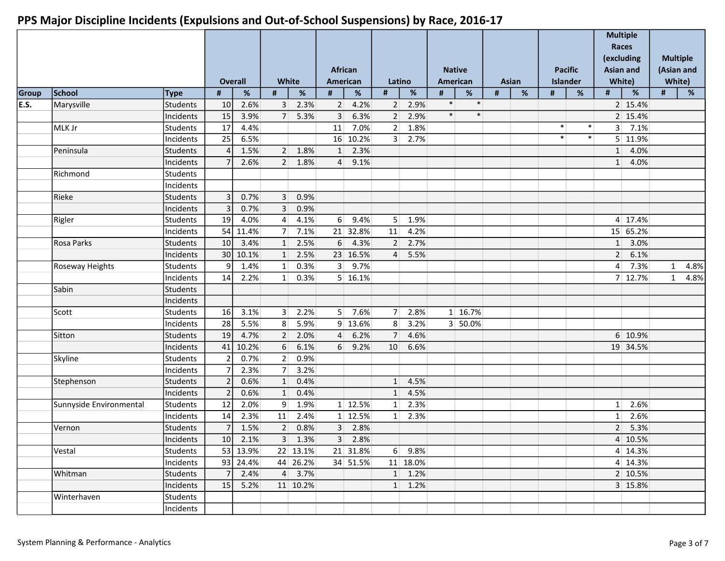|       |                         |           |                 |                        | White          |                | African        | American        |                 |                 |        | <b>Native</b><br>American |   | Asian |        | <b>Pacific</b><br>Islander |                 | <b>Multiple</b><br>Races<br>(excluding<br><b>Asian and</b> |              | <b>Multiple</b><br>(Asian and<br>White) |
|-------|-------------------------|-----------|-----------------|------------------------|----------------|----------------|----------------|-----------------|-----------------|-----------------|--------|---------------------------|---|-------|--------|----------------------------|-----------------|------------------------------------------------------------|--------------|-----------------------------------------|
| Group | School                  | Type      | #               | <b>Overall</b><br>$\%$ | #              | $\%$           | #              | %               | Latino<br>#     | $\%$            | #      | $\%$                      | # | $\%$  | #      | $\%$                       | #               | White)<br>%                                                | #            | $\%$                                    |
| E.S.  | Marysville              | Students  | 10              | 2.6%                   | 3 <sup>1</sup> | 2.3%           | 2 <sup>1</sup> | 4.2%            | 2               | 2.9%            | $\ast$ | $\ast$                    |   |       |        |                            |                 | 2 15.4%                                                    |              |                                         |
|       |                         | Incidents | 15              | 3.9%                   | 7              | 5.3%           | 3 <sup>1</sup> | 6.3%            | 2               | 2.9%            | $\ast$ | $\ast$                    |   |       |        |                            |                 | 2 15.4%                                                    |              |                                         |
|       | MLK Jr                  | Students  | 17              | 4.4%                   |                |                | 11             | 7.0%            | 2 <sup>1</sup>  | 1.8%            |        |                           |   |       | $\ast$ | $\ast$                     |                 | $3 \mid 7.1\%$                                             |              |                                         |
|       |                         | Incidents | 25              | 6.5%                   |                |                |                | 16 10.2%        | 3 <sup>1</sup>  | 2.7%            |        |                           |   |       | $\ast$ | $\ast$                     |                 | 5 11.9%                                                    |              |                                         |
|       | Peninsula               | Students  |                 | 1.5%                   |                | $2 \mid 1.8\%$ | 1              | 2.3%            |                 |                 |        |                           |   |       |        |                            |                 | 1 4.0%                                                     |              |                                         |
|       |                         | Incidents |                 | 2.6%                   | 2              | 1.8%           | $\overline{4}$ | 9.1%            |                 |                 |        |                           |   |       |        |                            | 1               | 4.0%                                                       |              |                                         |
|       | Richmond                | Students  |                 |                        |                |                |                |                 |                 |                 |        |                           |   |       |        |                            |                 |                                                            |              |                                         |
|       |                         | Incidents |                 |                        |                |                |                |                 |                 |                 |        |                           |   |       |        |                            |                 |                                                            |              |                                         |
|       | Rieke                   | Students  | 3               | 0.7%                   | 3 <sup>1</sup> | 0.9%           |                |                 |                 |                 |        |                           |   |       |        |                            |                 |                                                            |              |                                         |
|       |                         | Incidents | 3               | 0.7%                   | 3 <sup>1</sup> | 0.9%           |                |                 |                 |                 |        |                           |   |       |        |                            |                 |                                                            |              |                                         |
|       | Rigler                  | Students  | 19              | 4.0%                   | $\overline{4}$ | 4.1%           | $6 \mid$       | 9.4%            | 5 <sup>1</sup>  | 1.9%            |        |                           |   |       |        |                            |                 | 4 17.4%                                                    |              |                                         |
|       |                         | Incidents |                 | 54 11.4%               | 7              | 7.1%           |                | 21 32.8%        | 11              | 4.2%            |        |                           |   |       |        |                            |                 | 15 65.2%                                                   |              |                                         |
|       | Rosa Parks              | Students  | 10 <sup>1</sup> | 3.4%                   | 1              | 2.5%           | $6 \mid$       | 4.3%            | 2 <sup>1</sup>  | 2.7%            |        |                           |   |       |        |                            | 1               | 3.0%                                                       |              |                                         |
|       |                         | Incidents |                 | 30   10.1%             | 1              | 2.5%           |                | 23 16.5%        | $\overline{4}$  | 5.5%            |        |                           |   |       |        |                            | 2 <sup>1</sup>  | 6.1%                                                       |              |                                         |
|       | Roseway Heights         | Students  | 9               | 1.4%                   | 1              | 0.3%           | 3 <sup>1</sup> | 9.7%            |                 |                 |        |                           |   |       |        |                            | $\vert 4 \vert$ | 7.3%                                                       | $\mathbf{1}$ | 4.8%                                    |
|       |                         | Incidents | 14              | 2.2%                   | 1              | 0.3%           |                | $5 \mid 16.1\%$ |                 |                 |        |                           |   |       |        |                            |                 | 7 12.7%                                                    |              | 4.8%<br>$\mathbf{1}$                    |
|       | Sabin                   | Students  |                 |                        |                |                |                |                 |                 |                 |        |                           |   |       |        |                            |                 |                                                            |              |                                         |
|       |                         | Incidents |                 |                        |                |                |                |                 |                 |                 |        |                           |   |       |        |                            |                 |                                                            |              |                                         |
|       | Scott                   | Students  | 16              | 3.1%                   | 3 <sup>1</sup> | 2.2%           |                | $5$ 7.6%        | 7 <sup>1</sup>  | 2.8%            |        | 1 16.7%                   |   |       |        |                            |                 |                                                            |              |                                         |
|       |                         | Incidents | 28              | 5.5%                   | 8 <sup>1</sup> | 5.9%           |                | 9 13.6%         | 8 <sup>1</sup>  | 3.2%            |        | 3 50.0%                   |   |       |        |                            |                 |                                                            |              |                                         |
|       | Sitton                  | Students  | 19              | 4.7%                   | 2 <sup>1</sup> | 2.0%           | $\overline{4}$ | 6.2%            | 7 <sup>1</sup>  | 4.6%            |        |                           |   |       |        |                            |                 | 6 10.9%                                                    |              |                                         |
|       |                         | Incidents | 41              | 10.2%                  | 6 <sup>1</sup> | 6.1%           | $6 \mid$       | 9.2%            | 10 <sup>1</sup> | 6.6%            |        |                           |   |       |        |                            |                 | 19 34.5%                                                   |              |                                         |
|       | Skyline                 | Students  |                 | 0.7%                   | 2              | 0.9%           |                |                 |                 |                 |        |                           |   |       |        |                            |                 |                                                            |              |                                         |
|       |                         | Incidents |                 | 2.3%                   | 7 <sup>1</sup> | 3.2%           |                |                 |                 |                 |        |                           |   |       |        |                            |                 |                                                            |              |                                         |
|       | Stephenson              | Students  |                 | 0.6%                   | 1              | 0.4%           |                |                 | $1\vert$        | 4.5%            |        |                           |   |       |        |                            |                 |                                                            |              |                                         |
|       |                         | Incidents |                 | 0.6%                   | 1              | 0.4%           |                |                 | $1\vert$        | 4.5%            |        |                           |   |       |        |                            |                 |                                                            |              |                                         |
|       | Sunnyside Environmental | Students  | 12              | 2.0%                   | 9 <sup>1</sup> | 1.9%           |                | 1 12.5%         | $1\vert$        | 2.3%            |        |                           |   |       |        |                            | $1\vert$        | 2.6%                                                       |              |                                         |
|       |                         | Incidents | 14              | 2.3%                   |                | 11 2.4%        |                | 1 12.5%         | $1 \vert$       | 2.3%            |        |                           |   |       |        |                            | $1\vert$        | 2.6%                                                       |              |                                         |
|       | Vernon                  | Students  | $\overline{7}$  | 1.5%                   | 2              | 0.8%           |                | 3 2.8%          |                 |                 |        |                           |   |       |        |                            |                 | $2 \quad 5.3\%$                                            |              |                                         |
|       |                         | Incidents | 10              | 2.1%                   |                | $3\quad 1.3\%$ |                | 3 2.8%          |                 |                 |        |                           |   |       |        |                            |                 | 4 10.5%                                                    |              |                                         |
|       | Vestal                  | Students  |                 | 53 13.9%               |                | 22 13.1%       |                | 21 31.8%        |                 | 6 9.8%          |        |                           |   |       |        |                            |                 | 4 14.3%                                                    |              |                                         |
|       |                         | Incidents |                 | 93 24.4%               |                | 44 26.2%       |                | 34 51.5%        |                 | 11 18.0%        |        |                           |   |       |        |                            |                 | $4 \mid 14.3\%$                                            |              |                                         |
|       | Whitman                 | Students  |                 | $7 \mid 2.4\%$         |                | 4 3.7%         |                |                 |                 | $1 \quad 1.2\%$ |        |                           |   |       |        |                            |                 | 2 10.5%                                                    |              |                                         |
|       |                         | Incidents | 15              | 5.2%                   |                | 11 10.2%       |                |                 |                 | $1 \quad 1.2\%$ |        |                           |   |       |        |                            |                 | 3 15.8%                                                    |              |                                         |
|       | Winterhaven             | Students  |                 |                        |                |                |                |                 |                 |                 |        |                           |   |       |        |                            |                 |                                                            |              |                                         |
|       |                         | Incidents |                 |                        |                |                |                |                 |                 |                 |        |                           |   |       |        |                            |                 |                                                            |              |                                         |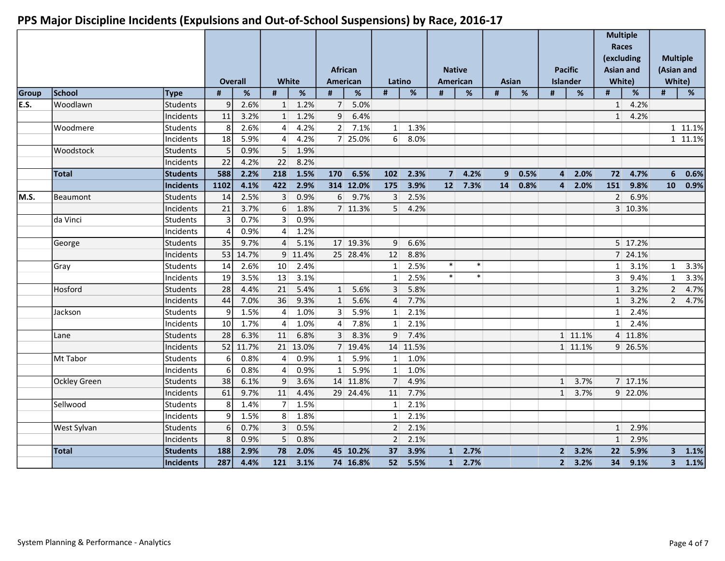|       |                     |                 |                         | <b>Overall</b> | <b>White</b>     |          |                  | <b>African</b><br><b>American</b> | Latino                    |          |                | <b>Native</b><br><b>American</b> | <b>Asian</b>   |      |                | <b>Pacific</b><br><b>Islander</b> | Races<br><b>Asian and</b> | <b>Multiple</b><br>(excluding<br>White) | White)          | <b>Multiple</b><br>(Asian and |
|-------|---------------------|-----------------|-------------------------|----------------|------------------|----------|------------------|-----------------------------------|---------------------------|----------|----------------|----------------------------------|----------------|------|----------------|-----------------------------------|---------------------------|-----------------------------------------|-----------------|-------------------------------|
| Group | School              | <b>Type</b>     | #                       | $\%$           | #                | $\%$     | $\#$             | $\%$                              | #                         | %        | $\#$           | %                                | #              | %    | #              | %                                 | #                         | %                                       | #               | $\%$                          |
| E.S.  | Woodlawn            | <b>Students</b> | 9                       | 2.6%           | 1                | 1.2%     | 7 <sup>1</sup>   | 5.0%                              |                           |          |                |                                  |                |      |                |                                   | $1\vert$                  | 4.2%                                    |                 |                               |
|       |                     | Incidents       | 11                      | 3.2%           | $1\vert$         | 1.2%     | $\overline{9}$   | 6.4%                              |                           |          |                |                                  |                |      |                |                                   | 1                         | 4.2%                                    |                 |                               |
|       | Woodmere            | Students        | 8                       | 2.6%           | $\overline{4}$   | 4.2%     | 2                | 7.1%                              | $1\vert$                  | 1.3%     |                |                                  |                |      |                |                                   |                           |                                         |                 | 1 11.1%                       |
|       |                     | Incidents       | 18                      | 5.9%           | $\vert 4 \vert$  | 4.2%     |                  | 7 25.0%                           | 6 <sup>1</sup>            | 8.0%     |                |                                  |                |      |                |                                   |                           |                                         |                 | 1 11.1%                       |
|       | Woodstock           | <b>Students</b> | 5                       | 0.9%           | 5 <sup>1</sup>   | 1.9%     |                  |                                   |                           |          |                |                                  |                |      |                |                                   |                           |                                         |                 |                               |
|       |                     | Incidents       | 22                      | 4.2%           | 22               | 8.2%     |                  |                                   |                           |          |                |                                  |                |      |                |                                   |                           |                                         |                 |                               |
|       | <b>Total</b>        | <b>Students</b> | 588                     | 2.2%           | 218              | 1.5%     | 170              | 6.5%                              | 102                       | 2.3%     | 7 <sup>1</sup> | 4.2%                             | 9 <sup>°</sup> | 0.5% | $\overline{4}$ | 2.0%                              | 72                        | 4.7%                                    | 6               | 0.6%                          |
|       |                     | Incidents       | 1102                    | 4.1%           | 422              | 2.9%     |                  | 314 12.0%                         | $\overline{\mathbf{175}}$ | 3.9%     | 12             | 7.3%                             | 14             | 0.8% | $\overline{4}$ | 2.0%                              | $\boxed{151}$             | 9.8%                                    | 10 <sup>°</sup> | 0.9%                          |
| M.S.  | Beaumont            | <b>Students</b> | 14                      | 2.5%           | 3 <sup>1</sup>   | 0.9%     | $6 \overline{6}$ | 9.7%                              | $\overline{3}$            | 2.5%     |                |                                  |                |      |                |                                   | 2 <sup>1</sup>            | 6.9%                                    |                 |                               |
|       |                     | Incidents       | 21                      | 3.7%           | $6 \overline{6}$ | 1.8%     |                  | 7 11.3%                           | 5 <sup>1</sup>            | 4.2%     |                |                                  |                |      |                |                                   |                           | 3 10.3%                                 |                 |                               |
|       | da Vinci            | Students        | $\overline{\mathbf{3}}$ | 0.7%           | 3 <sup>1</sup>   | 0.9%     |                  |                                   |                           |          |                |                                  |                |      |                |                                   |                           |                                         |                 |                               |
|       |                     | Incidents       | 4                       | 0.9%           | $\overline{4}$   | 1.2%     |                  |                                   |                           |          |                |                                  |                |      |                |                                   |                           |                                         |                 |                               |
|       | George              | <b>Students</b> | 35                      | 9.7%           | $\overline{4}$   | 5.1%     |                  | 17 19.3%                          | 9                         | 6.6%     |                |                                  |                |      |                |                                   |                           | 5 17.2%                                 |                 |                               |
|       |                     | Incidents       | 53                      | 14.7%          |                  | 9 11.4%  |                  | 25 28.4%                          | 12                        | 8.8%     |                |                                  |                |      |                |                                   |                           | 7 24.1%                                 |                 |                               |
|       | Gray                | Students        | 14                      | 2.6%           | 10               | 2.4%     |                  |                                   | 1 <sup>1</sup>            | 2.5%     | $\ast$         | $\ast$                           |                |      |                |                                   | 1 <sup>1</sup>            | 3.1%                                    | $\mathbf{1}$    | 3.3%                          |
|       |                     | Incidents       | 19                      | 3.5%           | 13               | 3.1%     |                  |                                   | 1 <sup>1</sup>            | 2.5%     | $\ast$         | $\ast$                           |                |      |                |                                   | 3 <sup>1</sup>            | 9.4%                                    | $\mathbf{1}$    | 3.3%                          |
|       | Hosford             | Students        | 28                      | 4.4%           | 21               | 5.4%     | 1                | 5.6%                              | $\overline{3}$            | 5.8%     |                |                                  |                |      |                |                                   | 1                         | 3.2%                                    | $\overline{2}$  | 4.7%                          |
|       |                     | Incidents       | 44                      | 7.0%           | 36               | 9.3%     | 1                | 5.6%                              | $\overline{4}$            | 7.7%     |                |                                  |                |      |                |                                   | 1                         | 3.2%                                    | $\overline{2}$  | 4.7%                          |
|       | Jackson             | <b>Students</b> | 9                       | 1.5%           | $\vert 4 \vert$  | 1.0%     | 3 <sup>1</sup>   | 5.9%                              | $1\vert$                  | 2.1%     |                |                                  |                |      |                |                                   | $1\vert$                  | 2.4%                                    |                 |                               |
|       |                     | Incidents       | 10 <sup>1</sup>         | 1.7%           | $\vert$          | 1.0%     | $\overline{4}$   | 7.8%                              | $1\vert$                  | 2.1%     |                |                                  |                |      |                |                                   | $1\vert$                  | 2.4%                                    |                 |                               |
|       | Lane                | Students        | 28                      | 6.3%           | 11               | 6.8%     | $\overline{3}$   | 8.3%                              | $\overline{9}$            | 7.4%     |                |                                  |                |      |                | 1 11.1%                           |                           | 4 11.8%                                 |                 |                               |
|       |                     | Incidents       | 52                      | 11.7%          |                  | 21 13.0% |                  | 7 19.4%                           |                           | 14 11.5% |                |                                  |                |      |                | 1 11.1%                           |                           | 9 26.5%                                 |                 |                               |
|       | Mt Tabor            | <b>Students</b> | 6                       | 0.8%           | $\overline{4}$   | 0.9%     | 1 <sup>1</sup>   | 5.9%                              | $1\vert$                  | 1.0%     |                |                                  |                |      |                |                                   |                           |                                         |                 |                               |
|       |                     | Incidents       | 6                       | 0.8%           | $\overline{4}$   | 0.9%     | $1\vert$         | 5.9%                              | 1                         | 1.0%     |                |                                  |                |      |                |                                   |                           |                                         |                 |                               |
|       | <b>Ockley Green</b> | Students        | 38                      | 6.1%           | 9 <sup>1</sup>   | 3.6%     |                  | 14 11.8%                          | 7 <sup>1</sup>            | 4.9%     |                |                                  |                |      | $1\vert$       | 3.7%                              |                           | 7 17.1%                                 |                 |                               |
|       |                     | Incidents       | 61                      | 9.7%           | 11               | 4.4%     |                  | 29 24.4%                          | 11                        | 7.7%     |                |                                  |                |      | 1              | 3.7%                              |                           | 9 22.0%                                 |                 |                               |
|       | Sellwood            | <b>Students</b> | 8                       | 1.4%           | 7 <sup>1</sup>   | 1.5%     |                  |                                   | 1 <sup>1</sup>            | 2.1%     |                |                                  |                |      |                |                                   |                           |                                         |                 |                               |
|       |                     | Incidents       | 9                       | 1.5%           | 8 <sup>1</sup>   | 1.8%     |                  |                                   | 1 <sup>1</sup>            | 2.1%     |                |                                  |                |      |                |                                   |                           |                                         |                 |                               |
|       | West Sylvan         | Students        | $\boldsymbol{6}$        | 0.7%           | 3 <sup>1</sup>   | 0.5%     |                  |                                   | 2 <sup>1</sup>            | 2.1%     |                |                                  |                |      |                |                                   | $1\vert$                  | 2.9%                                    |                 |                               |
|       |                     | Incidents       | 8                       | 0.9%           | 5 <sup>1</sup>   | 0.8%     |                  |                                   | 2 <sup>1</sup>            | 2.1%     |                |                                  |                |      |                |                                   | $1\vert$                  | 2.9%                                    |                 |                               |
|       | <b>Total</b>        | <b>Students</b> | 188                     | 2.9%           | 78               | 2.0%     |                  | 45 10.2%                          | 37                        | 3.9%     | $1\vert$       | 2.7%                             |                |      | 2 <sup>1</sup> | 3.2%                              | 22                        | 5.9%                                    |                 | $3 - 1.1\%$                   |
|       |                     | Incidents       | 287                     | 4.4%           | $121$            | 3.1%     |                  | 74 16.8%                          | 52                        | 5.5%     | 1              | 2.7%                             |                |      | 2 <sup>1</sup> | 3.2%                              | 34                        | 9.1%                                    |                 | $3 - 1.1\%$                   |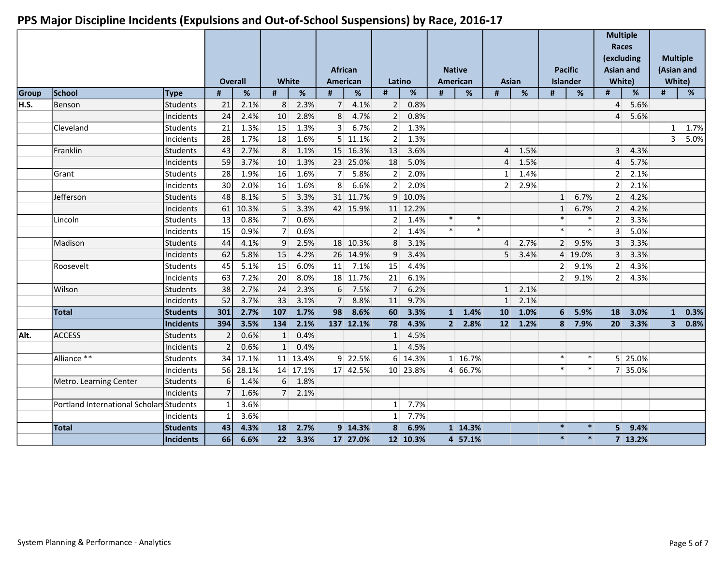|       |                                          |                 |                |       |                |                |                | <b>African</b> |                |          |                | <b>Native</b>    |                |                  | <b>Pacific</b>  |         | <b>Multiple</b><br>Races<br>(excluding<br><b>Asian and</b> |         |                | <b>Multiple</b><br>(Asian and |
|-------|------------------------------------------|-----------------|----------------|-------|----------------|----------------|----------------|----------------|----------------|----------|----------------|------------------|----------------|------------------|-----------------|---------|------------------------------------------------------------|---------|----------------|-------------------------------|
|       |                                          |                 | <b>Overall</b> |       | <b>White</b>   |                |                | American       | Latino         |          |                | American         | Asian          |                  | <b>Islander</b> |         | White)                                                     |         |                | White)                        |
| Group | School                                   | Type            | #              | %     | $\#$           | $\%$           | #              | $\%$           | $\#$           | $\%$     | $\#$           | %                | $\#$           | %                | #               | %       | $\#$                                                       | %       | $\#$           | $\%$                          |
| H.S.  | Benson                                   | Students        | 21             | 2.1%  | 8 <sup>1</sup> | 2.3%           | 7 <sup>1</sup> | 4.1%           | 2 <sup>2</sup> | 0.8%     |                |                  |                |                  |                 |         | $\overline{4}$                                             | 5.6%    |                |                               |
|       |                                          | Incidents       | 24             | 2.4%  | 10             | 2.8%           | 8              | 4.7%           | 2              | 0.8%     |                |                  |                |                  |                 |         | $\overline{4}$                                             | 5.6%    |                |                               |
|       | Cleveland                                | Students        | 21             | 1.3%  | 15             | 1.3%           | 3 <sup>1</sup> | 6.7%           | 2 <sup>1</sup> | 1.3%     |                |                  |                |                  |                 |         |                                                            |         | $\mathbf{1}$   | 1.7%                          |
|       |                                          | Incidents       | 28             | 1.7%  | 18             | 1.6%           |                | $5$ 11.1%      | 2 <sup>1</sup> | 1.3%     |                |                  |                |                  |                 |         |                                                            |         | $\overline{3}$ | 5.0%                          |
|       | Franklin                                 | Students        | 43             | 2.7%  | 8 <sup>1</sup> | 1.1%           |                | 15 16.3%       | 13             | 3.6%     |                |                  | $\overline{4}$ | 1.5%             |                 |         | $\overline{3}$                                             | 4.3%    |                |                               |
|       |                                          | Incidents       | 59             | 3.7%  | 10             | 1.3%           |                | 23 25.0%       | 18             | 5.0%     |                |                  | $\overline{4}$ | 1.5%             |                 |         | 4                                                          | 5.7%    |                |                               |
|       | Grant                                    | Students        | 28             | 1.9%  | 16             | 1.6%           | 7 <sup>1</sup> | 5.8%           | 2 <sup>1</sup> | 2.0%     |                |                  | 1 <sup>1</sup> | 1.4%             |                 |         | 2 <sup>1</sup>                                             | 2.1%    |                |                               |
|       |                                          | Incidents       | 30             | 2.0%  | 16             | 1.6%           | 8 <sup>1</sup> | 6.6%           | 2 <sup>1</sup> | 2.0%     |                |                  | 2 <sup>1</sup> | 2.9%             |                 |         | 2 <sup>1</sup>                                             | 2.1%    |                |                               |
|       | Jefferson                                | Students        | 48             | 8.1%  | 5 <sup>1</sup> | 3.3%           |                | 31 11.7%       |                | 9 10.0%  |                |                  |                |                  | $1\vert$        | 6.7%    | 2                                                          | 4.2%    |                |                               |
|       |                                          | Incidents       | 61             | 10.3% | 5 <sup>1</sup> | 3.3%           |                | 42 15.9%       |                | 11 12.2% |                |                  |                |                  | 1               | 6.7%    | $\overline{2}$                                             | 4.2%    |                |                               |
|       | Lincoln                                  | Students        | 13             | 0.8%  | 7 <sup>1</sup> | 0.6%           |                |                | 2 <sup>1</sup> | 1.4%     | $\ast$         | $\ast$           |                |                  | $\ast$          | $\ast$  | 2 <sup>1</sup>                                             | 3.3%    |                |                               |
|       |                                          | Incidents       | 15             | 0.9%  | 7 <sup>1</sup> | 0.6%           |                |                | 2 <sup>1</sup> | 1.4%     | $\ast$         | $\ast$           |                |                  | $\ast$          | $\ast$  | 3 <sup>1</sup>                                             | 5.0%    |                |                               |
|       | Madison                                  | <b>Students</b> | 44             | 4.1%  | 9              | 2.5%           |                | 18 10.3%       | 8              | 3.1%     |                |                  | $\overline{4}$ | 2.7%             | 2 <sup>1</sup>  | 9.5%    | 3 <sup>1</sup>                                             | 3.3%    |                |                               |
|       |                                          | Incidents       | 62             | 5.8%  | 15             | 4.2%           |                | 26 14.9%       | $\overline{9}$ | 3.4%     |                |                  | 5 <sup>1</sup> | 3.4%             |                 | 4 19.0% | $\overline{3}$                                             | 3.3%    |                |                               |
|       | Roosevelt                                | Students        | 45             | 5.1%  | 15             | 6.0%           | 11             | 7.1%           | 15             | 4.4%     |                |                  |                |                  | 2 <sup>1</sup>  | 9.1%    | 2 <sup>1</sup>                                             | 4.3%    |                |                               |
|       |                                          | Incidents       | 63             | 7.2%  | 20             | 8.0%           |                | 18 11.7%       | 21             | 6.1%     |                |                  |                |                  | 2 <sup>1</sup>  | 9.1%    | 2 <sup>1</sup>                                             | 4.3%    |                |                               |
|       | Wilson                                   | Students        | 38             | 2.7%  | 24             | 2.3%           | 6              | 7.5%           | 7 <sup>1</sup> | 6.2%     |                |                  | 1              | 2.1%             |                 |         |                                                            |         |                |                               |
|       |                                          | Incidents       | 52             | 3.7%  | 33             | 3.1%           | 7 <sup>1</sup> | 8.8%           | 11             | 9.7%     |                |                  | $1\vert$       | 2.1%             |                 |         |                                                            |         |                |                               |
|       | <b>Total</b>                             | Students        | 301            | 2.7%  | 107            | 1.7%           | 98             | 8.6%           | 60             | 3.3%     | $\mathbf{1}$   | 1.4%             | 10             | 1.0%             | 6               | 5.9%    | 18                                                         | 3.0%    | $\mathbf{1}$   | 0.3%                          |
|       |                                          | Incidents       | 394            | 3.5%  | 134            | 2.1%           |                | 137 12.1%      | 78             | 4.3%     | 2 <sup>1</sup> | 2.8%             |                | $12 \quad 1.2\%$ | 8 <sup>1</sup>  | 7.9%    | 20 <sup>1</sup>                                            | 3.3%    | 3 <sup>1</sup> | 0.8%                          |
| Alt.  | <b>ACCESS</b>                            | Students        | $\overline{2}$ | 0.6%  | 1              | 0.4%           |                |                | $1\vert$       | 4.5%     |                |                  |                |                  |                 |         |                                                            |         |                |                               |
|       |                                          | Incidents       |                | 0.6%  | 1              | 0.4%           |                |                | 1              | 4.5%     |                |                  |                |                  |                 |         |                                                            |         |                |                               |
|       | Alliance **                              | Students        | 34             | 17.1% |                | 11 13.4%       |                | 9 22.5%        |                | 6 14.3%  |                | $1 \vert 16.7\%$ |                |                  | $\ast$          | $\ast$  |                                                            | 5 25.0% |                |                               |
|       |                                          | Incidents       | 56             | 28.1% |                | 14 17.1%       |                | 17 42.5%       |                | 10 23.8% |                | 4 66.7%          |                |                  | $\ast$          | $\ast$  |                                                            | 7 35.0% |                |                               |
|       | Metro. Learning Center                   | Students        | 6              | 1.4%  | 6 <sup>1</sup> | 1.8%           |                |                |                |          |                |                  |                |                  |                 |         |                                                            |         |                |                               |
|       |                                          | Incidents       |                | 1.6%  |                | $7\quad 2.1\%$ |                |                |                |          |                |                  |                |                  |                 |         |                                                            |         |                |                               |
|       | Portland International Scholars Students |                 |                | 3.6%  |                |                |                |                | $1\vert$       | 7.7%     |                |                  |                |                  |                 |         |                                                            |         |                |                               |
|       |                                          | Incidents       | $\mathbf{1}$   | 3.6%  |                |                |                |                | $1\vert$       | 7.7%     |                |                  |                |                  |                 |         |                                                            |         |                |                               |
|       | <b>Total</b>                             | Students        | 43             | 4.3%  | <b>18</b>      | 2.7%           |                | 9 14.3%        | 8 <sup>1</sup> | 6.9%     |                | 1 14.3%          |                |                  | $\ast$          | $\ast$  |                                                            | 5 9.4%  |                |                               |
|       |                                          | Incidents       | 66             | 6.6%  |                | 22 3.3%        |                | 17 27.0%       |                | 12 10.3% |                | 4 57.1%          |                |                  | $\star$         | $\ast$  |                                                            | 7 13.2% |                |                               |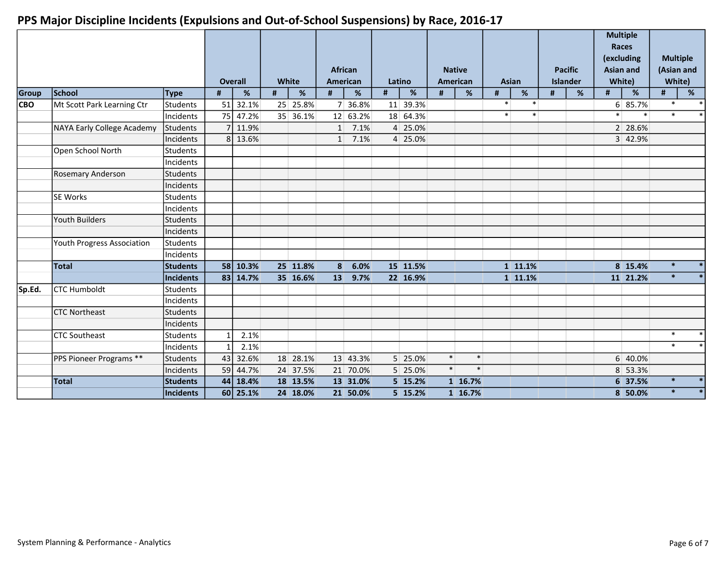|            |                                   |                 |             | <b>Overall</b> |      | White    |                | <b>African</b><br><b>American</b> | Latino |          |        | <b>Native</b><br>American |      | Asian            |   | <b>Pacific</b><br><b>Islander</b> |        | <b>Multiple</b><br><b>Races</b><br>(excluding<br><b>Asian and</b><br>White) | <b>Multiple</b><br>(Asian and<br>White) |                          |
|------------|-----------------------------------|-----------------|-------------|----------------|------|----------|----------------|-----------------------------------|--------|----------|--------|---------------------------|------|------------------|---|-----------------------------------|--------|-----------------------------------------------------------------------------|-----------------------------------------|--------------------------|
| Group      | School                            | Type            | $\#$        | %              | $\#$ | %        | $\#$           | %                                 | $\#$   | %        | $\#$   | %                         | $\#$ | %                | # | %                                 | #      | %                                                                           | #                                       | $\%$                     |
| <b>CBO</b> | Mt Scott Park Learning Ctr        | lStudents       | 51          | 32.1%          |      | 25 25.8% |                | 7 36.8%                           |        | 11 39.3% |        |                           |      | $\ast$<br>$\ast$ |   |                                   |        | 6 85.7%                                                                     | $\ast$                                  | $\ast$                   |
|            |                                   | Incidents       | 75          | 47.2%          |      | 35 36.1% |                | 12 63.2%                          |        | 18 64.3% |        |                           |      | $\ast$<br>$\ast$ |   |                                   | $\ast$ | $\ast$                                                                      | $\ast$                                  | $\ast$                   |
|            | <b>NAYA Early College Academy</b> | Students        |             | 11.9%          |      |          | 1              | 7.1%                              |        | 4 25.0%  |        |                           |      |                  |   |                                   |        | 2 28.6%                                                                     |                                         |                          |
|            |                                   | Incidents       | 8           | 13.6%          |      |          | $1\vert$       | 7.1%                              |        | 4 25.0%  |        |                           |      |                  |   |                                   |        | 3 42.9%                                                                     |                                         |                          |
|            | Open School North                 | Students        |             |                |      |          |                |                                   |        |          |        |                           |      |                  |   |                                   |        |                                                                             |                                         |                          |
|            |                                   | Incidents       |             |                |      |          |                |                                   |        |          |        |                           |      |                  |   |                                   |        |                                                                             |                                         |                          |
|            | <b>Rosemary Anderson</b>          | lStudents       |             |                |      |          |                |                                   |        |          |        |                           |      |                  |   |                                   |        |                                                                             |                                         |                          |
|            |                                   | Incidents       |             |                |      |          |                |                                   |        |          |        |                           |      |                  |   |                                   |        |                                                                             |                                         |                          |
|            | <b>SE Works</b>                   | Students        |             |                |      |          |                |                                   |        |          |        |                           |      |                  |   |                                   |        |                                                                             |                                         |                          |
|            |                                   | Incidents       |             |                |      |          |                |                                   |        |          |        |                           |      |                  |   |                                   |        |                                                                             |                                         |                          |
|            | Youth Builders                    | lStudents       |             |                |      |          |                |                                   |        |          |        |                           |      |                  |   |                                   |        |                                                                             |                                         |                          |
|            |                                   | Incidents       |             |                |      |          |                |                                   |        |          |        |                           |      |                  |   |                                   |        |                                                                             |                                         |                          |
|            | Youth Progress Association        | lStudents       |             |                |      |          |                |                                   |        |          |        |                           |      |                  |   |                                   |        |                                                                             |                                         |                          |
|            |                                   | Incidents       |             |                |      |          |                |                                   |        |          |        |                           |      |                  |   |                                   |        |                                                                             |                                         |                          |
|            | <b>Total</b>                      | Students        |             | 58 10.3%       |      | 25 11.8% | 8 <sup>1</sup> | 6.0%                              |        | 15 11.5% |        |                           |      | 1 11.1%          |   |                                   |        | 8 15.4%                                                                     | $\ast$                                  | $\ast$                   |
|            |                                   | Incidents       |             | 83 14.7%       |      | 35 16.6% | 13             | 9.7%                              |        | 22 16.9% |        |                           |      | 1 11.1%          |   |                                   |        | 11 21.2%                                                                    | $\ast$                                  | $\ast$                   |
| Sp.Ed.     | <b>ICTC Humboldt</b>              | lStudents       |             |                |      |          |                |                                   |        |          |        |                           |      |                  |   |                                   |        |                                                                             |                                         |                          |
|            |                                   | Incidents       |             |                |      |          |                |                                   |        |          |        |                           |      |                  |   |                                   |        |                                                                             |                                         |                          |
|            | <b>CTC Northeast</b>              | lStudents       |             |                |      |          |                |                                   |        |          |        |                           |      |                  |   |                                   |        |                                                                             |                                         |                          |
|            |                                   | Incidents       |             |                |      |          |                |                                   |        |          |        |                           |      |                  |   |                                   |        |                                                                             |                                         |                          |
|            | <b>CTC Southeast</b>              | <b>Students</b> | $\mathbf 1$ | 2.1%           |      |          |                |                                   |        |          |        |                           |      |                  |   |                                   |        |                                                                             | $\ast$                                  | $\ast$                   |
|            |                                   | Incidents       |             | 2.1%           |      |          |                |                                   |        |          |        |                           |      |                  |   |                                   |        |                                                                             | $*$                                     | $\ast$                   |
|            | PPS Pioneer Programs **           | Students        |             | 43 32.6%       |      | 18 28.1% |                | 13 43.3%                          |        | 5 25.0%  | $\ast$ | $\ast$                    |      |                  |   |                                   |        | 6 40.0%                                                                     |                                         |                          |
|            |                                   | Incidents       | 59          | 44.7%          |      | 24 37.5% |                | 21 70.0%                          |        | 5 25.0%  | $\ast$ | $\ast$                    |      |                  |   |                                   |        | 8 53.3%                                                                     |                                         |                          |
|            | <b>Total</b>                      | <b>Students</b> |             | 44 18.4%       |      | 18 13.5% |                | 13 31.0%                          |        | 5 15.2%  |        | 1 16.7%                   |      |                  |   |                                   |        | 6 37.5%                                                                     | $\ast$                                  | $\overline{\phantom{a}}$ |
|            |                                   | Incidents       |             | $60$   25.1%   |      | 24 18.0% |                | 21 50.0%                          |        | 5 15.2%  |        | 1 16.7%                   |      |                  |   |                                   |        | 8 50.0%                                                                     | $\ast$                                  | $\overline{\phantom{a}}$ |